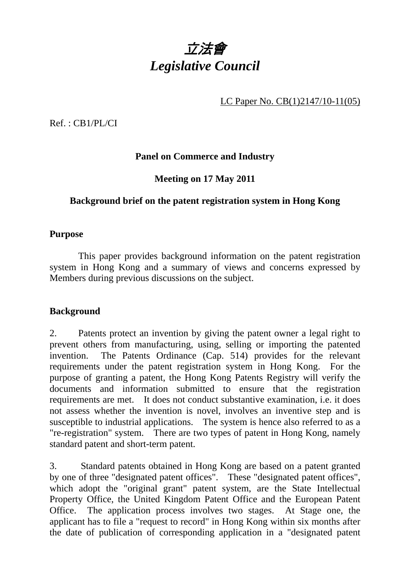

LC Paper No. CB(1)2147/10-11(05)

Ref. : CB1/PL/CI

# **Panel on Commerce and Industry**

# **Meeting on 17 May 2011**

# **Background brief on the patent registration system in Hong Kong**

#### **Purpose**

 This paper provides background information on the patent registration system in Hong Kong and a summary of views and concerns expressed by Members during previous discussions on the subject.

### **Background**

2. Patents protect an invention by giving the patent owner a legal right to prevent others from manufacturing, using, selling or importing the patented invention. The Patents Ordinance (Cap. 514) provides for the relevant requirements under the patent registration system in Hong Kong. For the purpose of granting a patent, the Hong Kong Patents Registry will verify the documents and information submitted to ensure that the registration requirements are met. It does not conduct substantive examination, i.e. it does not assess whether the invention is novel, involves an inventive step and is susceptible to industrial applications. The system is hence also referred to as a "re-registration" system. There are two types of patent in Hong Kong, namely standard patent and short-term patent.

3. Standard patents obtained in Hong Kong are based on a patent granted by one of three "designated patent offices". These "designated patent offices", which adopt the "original grant" patent system, are the State Intellectual Property Office, the United Kingdom Patent Office and the European Patent Office. The application process involves two stages. At Stage one, the applicant has to file a "request to record" in Hong Kong within six months after the date of publication of corresponding application in a "designated patent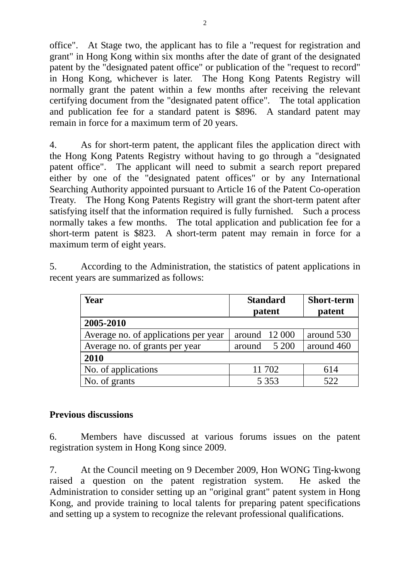office". At Stage two, the applicant has to file a "request for registration and grant" in Hong Kong within six months after the date of grant of the designated patent by the "designated patent office" or publication of the "request to record" in Hong Kong, whichever is later. The Hong Kong Patents Registry will normally grant the patent within a few months after receiving the relevant certifying document from the "designated patent office". The total application and publication fee for a standard patent is \$896. A standard patent may remain in force for a maximum term of 20 years.

4. As for short-term patent, the applicant files the application direct with the Hong Kong Patents Registry without having to go through a "designated patent office". The applicant will need to submit a search report prepared either by one of the "designated patent offices" or by any International Searching Authority appointed pursuant to Article 16 of the Patent Co-operation Treaty. The Hong Kong Patents Registry will grant the short-term patent after satisfying itself that the information required is fully furnished. Such a process normally takes a few months. The total application and publication fee for a short-term patent is \$823. A short-term patent may remain in force for a maximum term of eight years.

5. According to the Administration, the statistics of patent applications in recent years are summarized as follows:

| Year                                 | <b>Standard</b><br>patent | <b>Short-term</b><br>patent |
|--------------------------------------|---------------------------|-----------------------------|
| 2005-2010                            |                           |                             |
| Average no. of applications per year | around $12000$            | around 530                  |
| Average no. of grants per year       | 5 200<br>around           | around 460                  |
| 2010                                 |                           |                             |
| No. of applications                  | 11 702                    | 614                         |
| No. of grants                        | 5 3 5 3                   | 522                         |

### **Previous discussions**

6. Members have discussed at various forums issues on the patent registration system in Hong Kong since 2009.

7. At the Council meeting on 9 December 2009, Hon WONG Ting-kwong raised a question on the patent registration system. He asked the Administration to consider setting up an "original grant" patent system in Hong Kong, and provide training to local talents for preparing patent specifications and setting up a system to recognize the relevant professional qualifications.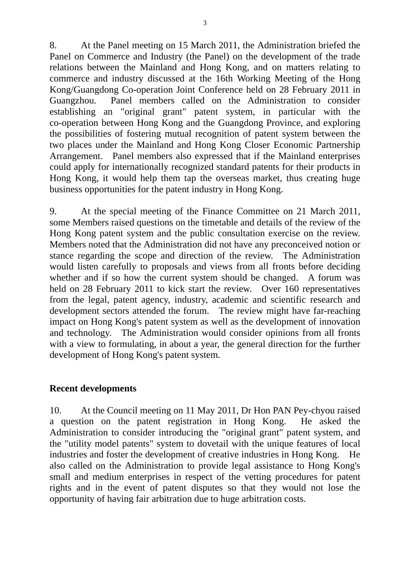8. At the Panel meeting on 15 March 2011, the Administration briefed the Panel on Commerce and Industry (the Panel) on the development of the trade relations between the Mainland and Hong Kong, and on matters relating to commerce and industry discussed at the 16th Working Meeting of the Hong Kong/Guangdong Co-operation Joint Conference held on 28 February 2011 in Guangzhou. Panel members called on the Administration to consider establishing an "original grant" patent system, in particular with the co-operation between Hong Kong and the Guangdong Province, and exploring the possibilities of fostering mutual recognition of patent system between the two places under the Mainland and Hong Kong Closer Economic Partnership Arrangement. Panel members also expressed that if the Mainland enterprises could apply for internationally recognized standard patents for their products in Hong Kong, it would help them tap the overseas market, thus creating huge business opportunities for the patent industry in Hong Kong.

9. At the special meeting of the Finance Committee on 21 March 2011, some Members raised questions on the timetable and details of the review of the Hong Kong patent system and the public consultation exercise on the review. Members noted that the Administration did not have any preconceived notion or stance regarding the scope and direction of the review. The Administration would listen carefully to proposals and views from all fronts before deciding whether and if so how the current system should be changed. A forum was held on 28 February 2011 to kick start the review. Over 160 representatives from the legal, patent agency, industry, academic and scientific research and development sectors attended the forum. The review might have far-reaching impact on Hong Kong's patent system as well as the development of innovation and technology. The Administration would consider opinions from all fronts with a view to formulating, in about a year, the general direction for the further development of Hong Kong's patent system.

### **Recent developments**

10. At the Council meeting on 11 May 2011, Dr Hon PAN Pey-chyou raised a question on the patent registration in Hong Kong. He asked the Administration to consider introducing the "original grant" patent system, and the "utility model patents" system to dovetail with the unique features of local industries and foster the development of creative industries in Hong Kong. He also called on the Administration to provide legal assistance to Hong Kong's small and medium enterprises in respect of the vetting procedures for patent rights and in the event of patent disputes so that they would not lose the opportunity of having fair arbitration due to huge arbitration costs.